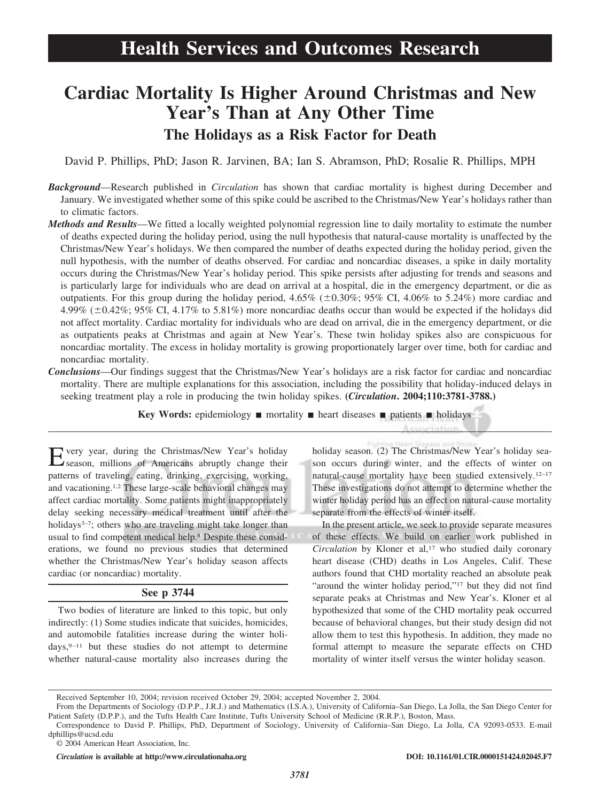# **Cardiac Mortality Is Higher Around Christmas and New Year's Than at Any Other Time The Holidays as a Risk Factor for Death**

David P. Phillips, PhD; Jason R. Jarvinen, BA; Ian S. Abramson, PhD; Rosalie R. Phillips, MPH

- *Background*—Research published in *Circulation* has shown that cardiac mortality is highest during December and January. We investigated whether some of this spike could be ascribed to the Christmas/New Year's holidays rather than to climatic factors.
- *Methods and Results*—We fitted a locally weighted polynomial regression line to daily mortality to estimate the number of deaths expected during the holiday period, using the null hypothesis that natural-cause mortality is unaffected by the Christmas/New Year's holidays. We then compared the number of deaths expected during the holiday period, given the null hypothesis, with the number of deaths observed. For cardiac and noncardiac diseases, a spike in daily mortality occurs during the Christmas/New Year's holiday period. This spike persists after adjusting for trends and seasons and is particularly large for individuals who are dead on arrival at a hospital, die in the emergency department, or die as outpatients. For this group during the holiday period, 4.65% ( $\pm$ 0.30%; 95% CI, 4.06% to 5.24%) more cardiac and 4.99% ( $\pm$ 0.42%; 95% CI, 4.17% to 5.81%) more noncardiac deaths occur than would be expected if the holidays did not affect mortality. Cardiac mortality for individuals who are dead on arrival, die in the emergency department, or die as outpatients peaks at Christmas and again at New Year's. These twin holiday spikes also are conspicuous for noncardiac mortality. The excess in holiday mortality is growing proportionately larger over time, both for cardiac and noncardiac mortality.
- *Conclusions*—Our findings suggest that the Christmas/New Year's holidays are a risk factor for cardiac and noncardiac mortality. There are multiple explanations for this association, including the possibility that holiday-induced delays in seeking treatment play a role in producing the twin holiday spikes. **(***Circulation***. 2004;110:3781-3788.)**

**Key Words:** epidemiology  $\blacksquare$  mortality  $\blacksquare$  heart diseases  $\blacksquare$  patients  $\blacksquare$  holidays

Every year, during the Christmas/New Year's holiday season, millions of Americans abruptly change their patterns of traveling, eating, drinking, exercising, working, and vacationing.1,2 These large-scale behavioral changes may affect cardiac mortality. Some patients might inappropriately delay seeking necessary medical treatment until after the holidays<sup>3-7</sup>; others who are traveling might take longer than usual to find competent medical help.8 Despite these considerations, we found no previous studies that determined whether the Christmas/New Year's holiday season affects cardiac (or noncardiac) mortality.

## **See p 3744**

Two bodies of literature are linked to this topic, but only indirectly: (1) Some studies indicate that suicides, homicides, and automobile fatalities increase during the winter holidays,  $9-11$  but these studies do not attempt to determine whether natural-cause mortality also increases during the holiday season. (2) The Christmas/New Year's holiday season occurs during winter, and the effects of winter on natural-cause mortality have been studied extensively.12–17 These investigations do not attempt to determine whether the winter holiday period has an effect on natural-cause mortality separate from the effects of winter itself.

In the present article, we seek to provide separate measures of these effects. We build on earlier work published in *Circulation* by Kloner et al,<sup>17</sup> who studied daily coronary heart disease (CHD) deaths in Los Angeles, Calif. These authors found that CHD mortality reached an absolute peak "around the winter holiday period,"<sup>17</sup> but they did not find separate peaks at Christmas and New Year's. Kloner et al hypothesized that some of the CHD mortality peak occurred because of behavioral changes, but their study design did not allow them to test this hypothesis. In addition, they made no formal attempt to measure the separate effects on CHD mortality of winter itself versus the winter holiday season.

*Circulation* is available at http://www.circulationaha.org DOI: 10.1161/01.CIR.0000151424.02045.F7

Received September 10, 2004; revision received October 29, 2004; accepted November 2, 2004.

From the Departments of Sociology (D.P.P., J.R.J.) and Mathematics (I.S.A.), University of California–San Diego, La Jolla, the San Diego Center for Patient Safety (D.P.P.), and the Tufts Health Care Institute, Tufts University School of Medicine (R.R.P.), Boston, Mass.

Correspondence to David P. Phillips, PhD, Department of Sociology, University of California–San Diego, La Jolla, CA 92093-0533. E-mail dphillips@ucsd.edu

<sup>© 2004</sup> American Heart Association, Inc.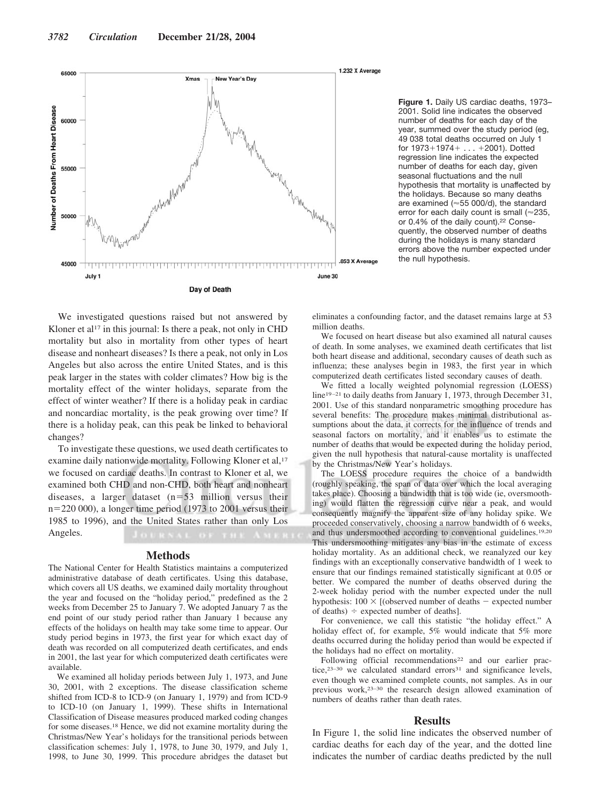

**Figure 1.** Daily US cardiac deaths, 1973– 2001. Solid line indicates the observed number of deaths for each day of the year, summed over the study period (eg, 49 038 total deaths occurred on July 1 for  $1973+1974+... +2001$ ). Dotted regression line indicates the expected number of deaths for each day, given seasonal fluctuations and the null hypothesis that mortality is unaffected by the holidays. Because so many deaths are examined ( $\approx$  55 000/d), the standard error for each daily count is small ( $\approx$ 235, or 0.4% of the daily count).<sup>22</sup> Consequently, the observed number of deaths during the holidays is many standard errors above the number expected under the null hypothesis.

We investigated questions raised but not answered by Kloner et al<sup>17</sup> in this journal: Is there a peak, not only in CHD mortality but also in mortality from other types of heart disease and nonheart diseases? Is there a peak, not only in Los Angeles but also across the entire United States, and is this peak larger in the states with colder climates? How big is the mortality effect of the winter holidays, separate from the effect of winter weather? If there is a holiday peak in cardiac and noncardiac mortality, is the peak growing over time? If there is a holiday peak, can this peak be linked to behavioral changes?

To investigate these questions, we used death certificates to examine daily nationwide mortality. Following Kloner et al,<sup>17</sup> we focused on cardiac deaths. In contrast to Kloner et al, we examined both CHD and non-CHD, both heart and nonheart diseases, a larger dataset  $(n=53$  million versus their n-220 000), a longer time period (1973 to 2001 versus their 1985 to 1996), and the United States rather than only Los Angeles.

#### **Methods**

The National Center for Health Statistics maintains a computerized administrative database of death certificates. Using this database, which covers all US deaths, we examined daily mortality throughout the year and focused on the "holiday period," predefined as the 2 weeks from December 25 to January 7. We adopted January 7 as the end point of our study period rather than January 1 because any effects of the holidays on health may take some time to appear. Our study period begins in 1973, the first year for which exact day of death was recorded on all computerized death certificates, and ends in 2001, the last year for which computerized death certificates were available.

We examined all holiday periods between July 1, 1973, and June 30, 2001, with 2 exceptions. The disease classification scheme shifted from ICD-8 to ICD-9 (on January 1, 1979) and from ICD-9 to ICD-10 (on January 1, 1999). These shifts in International Classification of Disease measures produced marked coding changes for some diseases.18 Hence, we did not examine mortality during the Christmas/New Year's holidays for the transitional periods between classification schemes: July 1, 1978, to June 30, 1979, and July 1, 1998, to June 30, 1999. This procedure abridges the dataset but eliminates a confounding factor, and the dataset remains large at 53 million deaths.

We focused on heart disease but also examined all natural causes of death. In some analyses, we examined death certificates that list both heart disease and additional, secondary causes of death such as influenza; these analyses begin in 1983, the first year in which computerized death certificates listed secondary causes of death.

We fitted a locally weighted polynomial regression (LOESS) line<sup>19-21</sup> to daily deaths from January 1, 1973, through December 31, 2001. Use of this standard nonparametric smoothing procedure has several benefits: The procedure makes minimal distributional assumptions about the data, it corrects for the influence of trends and seasonal factors on mortality, and it enables us to estimate the number of deaths that would be expected during the holiday period, given the null hypothesis that natural-cause mortality is unaffected by the Christmas/New Year's holidays.

The LOESS procedure requires the choice of a bandwidth (roughly speaking, the span of data over which the local averaging takes place). Choosing a bandwidth that is too wide (ie, oversmoothing) would flatten the regression curve near a peak, and would consequently magnify the apparent size of any holiday spike. We proceeded conservatively, choosing a narrow bandwidth of 6 weeks, and thus undersmoothed according to conventional guidelines.<sup>19,20</sup> This undersmoothing mitigates any bias in the estimate of excess holiday mortality. As an additional check, we reanalyzed our key findings with an exceptionally conservative bandwidth of 1 week to ensure that our findings remained statistically significant at 0.05 or better. We compared the number of deaths observed during the 2-week holiday period with the number expected under the null hypothesis:  $100 \times$  [(observed number of deaths  $-$  expected number of deaths)  $\div$  expected number of deaths].

For convenience, we call this statistic "the holiday effect." A holiday effect of, for example, 5% would indicate that 5% more deaths occurred during the holiday period than would be expected if the holidays had no effect on mortality.

Following official recommendations<sup>22</sup> and our earlier practice, $23-30$  we calculated standard errors<sup>31</sup> and significance levels, even though we examined complete counts, not samples. As in our previous work,23–30 the research design allowed examination of numbers of deaths rather than death rates.

## **Results**

In Figure 1, the solid line indicates the observed number of cardiac deaths for each day of the year, and the dotted line indicates the number of cardiac deaths predicted by the null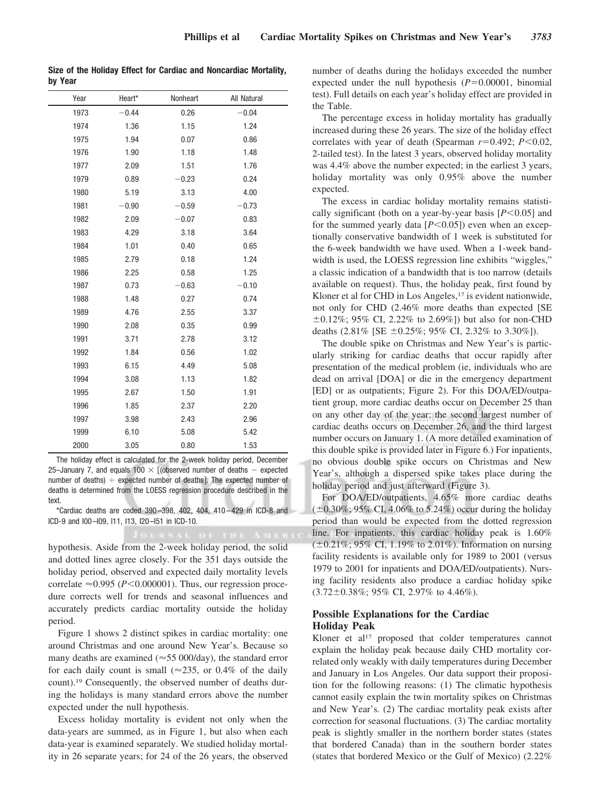**Size of the Holiday Effect for Cardiac and Noncardiac Mortality, by Year**

| Year | Heart*  | Nonheart | All Natural |
|------|---------|----------|-------------|
| 1973 | $-0.44$ | 0.26     | $-0.04$     |
| 1974 | 1.36    | 1.15     | 1.24        |
| 1975 | 1.94    | 0.07     | 0.86        |
| 1976 | 1.90    | 1.18     | 1.48        |
| 1977 | 2.09    | 1.51     | 1.76        |
| 1979 | 0.89    | $-0.23$  | 0.24        |
| 1980 | 5.19    | 3.13     | 4.00        |
| 1981 | $-0.90$ | $-0.59$  | $-0.73$     |
| 1982 | 2.09    | $-0.07$  | 0.83        |
| 1983 | 4.29    | 3.18     | 3.64        |
| 1984 | 1.01    | 0.40     | 0.65        |
| 1985 | 2.79    | 0.18     | 1.24        |
| 1986 | 2.25    | 0.58     | 1.25        |
| 1987 | 0.73    | $-0.63$  | $-0.10$     |
| 1988 | 1.48    | 0.27     | 0.74        |
| 1989 | 4.76    | 2.55     | 3.37        |
| 1990 | 2.08    | 0.35     | 0.99        |
| 1991 | 3.71    | 2.78     | 3.12        |
| 1992 | 1.84    | 0.56     | 1.02        |
| 1993 | 6.15    | 4.49     | 5.08        |
| 1994 | 3.08    | 1.13     | 1.82        |
| 1995 | 2.67    | 1.50     | 1.91        |
| 1996 | 1.85    | 2.37     | 2.20        |
| 1997 | 3.98    | 2.43     | 2.96        |
| 1999 | 6.10    | 5.08     | 5.42        |
| 2000 | 3.05    | 0.80     | 1.53        |

The holiday effect is calculated for the 2-week holiday period, December 25–January 7, and equals 100  $\times$  [(observed number of deaths  $-$  expected number of deaths)  $\div$  expected number of deaths]. The expected number of deaths is determined from the LOESS regression procedure described in the text.

 $*$ Cardiac deaths are coded 390-398, 402, 404, 410-429 in ICD-8 and ICD-9 and I00 –I09, I11, I13, I20 –I51 in ICD-10.

hypothesis. Aside from the 2-week holiday period, the solid and dotted lines agree closely. For the 351 days outside the holiday period, observed and expected daily mortality levels correlate  $\approx$  0.995 (*P*<0.000001). Thus, our regression procedure corrects well for trends and seasonal influences and accurately predicts cardiac mortality outside the holiday period.

Figure 1 shows 2 distinct spikes in cardiac mortality: one around Christmas and one around New Year's. Because so many deaths are examined ( $\approx$  55 000/day), the standard error for each daily count is small ( $\approx$ 235, or 0.4% of the daily count).19 Consequently, the observed number of deaths during the holidays is many standard errors above the number expected under the null hypothesis.

Excess holiday mortality is evident not only when the data-years are summed, as in Figure 1, but also when each data-year is examined separately. We studied holiday mortality in 26 separate years; for 24 of the 26 years, the observed number of deaths during the holidays exceeded the number expected under the null hypothesis  $(P=0.00001,$  binomial test). Full details on each year's holiday effect are provided in the Table.

The percentage excess in holiday mortality has gradually increased during these 26 years. The size of the holiday effect correlates with year of death (Spearman  $r=0.492$ ;  $P<0.02$ , 2-tailed test). In the latest 3 years, observed holiday mortality was 4.4% above the number expected; in the earliest 3 years, holiday mortality was only 0.95% above the number expected.

The excess in cardiac holiday mortality remains statistically significant (both on a year-by-year basis  $[P<0.05]$  and for the summed yearly data  $[P<0.05]$ ) even when an exceptionally conservative bandwidth of 1 week is substituted for the 6-week bandwidth we have used. When a 1-week bandwidth is used, the LOESS regression line exhibits "wiggles," a classic indication of a bandwidth that is too narrow (details available on request). Thus, the holiday peak, first found by Kloner et al for CHD in Los Angeles,<sup>17</sup> is evident nationwide, not only for CHD (2.46% more deaths than expected [SE  $\pm 0.12\%$ ; 95% CI, 2.22% to 2.69%]) but also for non-CHD deaths  $(2.81\%$  [SE  $\pm 0.25\%$ ; 95% CI, 2.32% to 3.30%]).

The double spike on Christmas and New Year's is particularly striking for cardiac deaths that occur rapidly after presentation of the medical problem (ie, individuals who are dead on arrival [DOA] or die in the emergency department [ED] or as outpatients; Figure 2). For this DOA/ED/outpatient group, more cardiac deaths occur on December 25 than on any other day of the year; the second largest number of cardiac deaths occurs on December 26, and the third largest number occurs on January 1. (A more detailed examination of this double spike is provided later in Figure 6.) For inpatients, no obvious double spike occurs on Christmas and New Year's, although a dispersed spike takes place during the holiday period and just afterward (Figure 3).

For DOA/ED/outpatients, 4.65% more cardiac deaths  $(\pm 0.30\%; 95\% \text{ CI}, 4.06\% \text{ to } 5.24\%)$  occur during the holiday period than would be expected from the dotted regression line. For inpatients, this cardiac holiday peak is 1.60%  $(\pm 0.21\%; 95\% \text{ CI}, 1.19\% \text{ to } 2.01\%)$ . Information on nursing facility residents is available only for 1989 to 2001 (versus 1979 to 2001 for inpatients and DOA/ED/outpatients). Nursing facility residents also produce a cardiac holiday spike  $(3.72\pm0.38\%; 95\% \text{ CI}, 2.97\% \text{ to } 4.46\%).$ 

## **Possible Explanations for the Cardiac Holiday Peak**

Kloner et al<sup>17</sup> proposed that colder temperatures cannot explain the holiday peak because daily CHD mortality correlated only weakly with daily temperatures during December and January in Los Angeles. Our data support their proposition for the following reasons: (1) The climatic hypothesis cannot easily explain the twin mortality spikes on Christmas and New Year's. (2) The cardiac mortality peak exists after correction for seasonal fluctuations. (3) The cardiac mortality peak is slightly smaller in the northern border states (states that bordered Canada) than in the southern border states (states that bordered Mexico or the Gulf of Mexico) (2.22%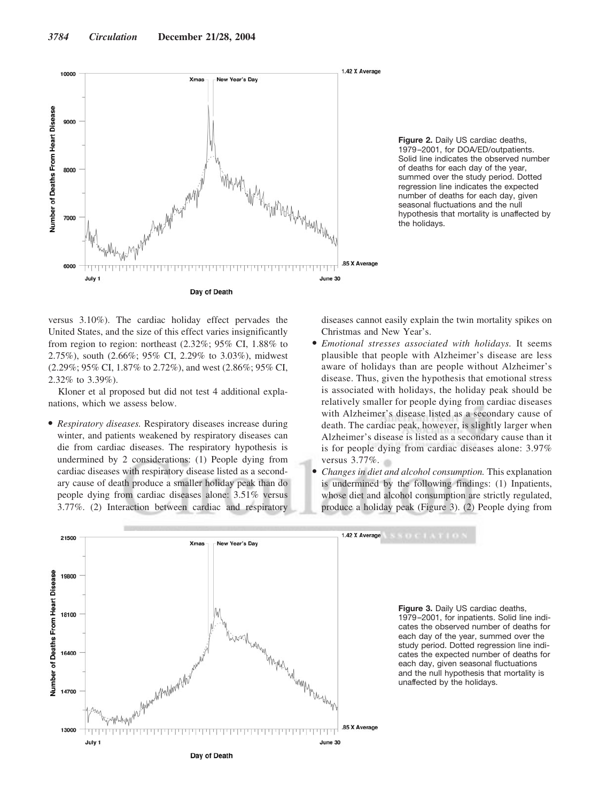

**Figure 2.** Daily US cardiac deaths, 1979–2001, for DOA/ED/outpatients. Solid line indicates the observed number of deaths for each day of the year, summed over the study period. Dotted regression line indicates the expected number of deaths for each day, given seasonal fluctuations and the null hypothesis that mortality is unaffected by the holidays.

versus 3.10%). The cardiac holiday effect pervades the United States, and the size of this effect varies insignificantly from region to region: northeast  $(2.32\%; 95\% \text{ CI}, 1.88\%$  to 2.75%), south (2.66%; 95% CI, 2.29% to 3.03%), midwest (2.29%; 95% CI, 1.87% to 2.72%), and west (2.86%; 95% CI, 2.32% to 3.39%).

Kloner et al proposed but did not test 4 additional explanations, which we assess below.

• *Respiratory diseases.* Respiratory diseases increase during winter, and patients weakened by respiratory diseases can die from cardiac diseases. The respiratory hypothesis is undermined by 2 considerations: (1) People dying from cardiac diseases with respiratory disease listed as a secondary cause of death produce a smaller holiday peak than do people dying from cardiac diseases alone: 3.51% versus 3.77%. (2) Interaction between cardiac and respiratory

diseases cannot easily explain the twin mortality spikes on Christmas and New Year's.

- *Emotional stresses associated with holidays.* It seems plausible that people with Alzheimer's disease are less aware of holidays than are people without Alzheimer's disease. Thus, given the hypothesis that emotional stress is associated with holidays, the holiday peak should be relatively smaller for people dying from cardiac diseases with Alzheimer's disease listed as a secondary cause of death. The cardiac peak, however, is slightly larger when Alzheimer's disease is listed as a secondary cause than it is for people dying from cardiac diseases alone: 3.97% versus 3.77%.
- *Changes in diet and alcohol consumption.* This explanation is undermined by the following findings: (1) Inpatients, whose diet and alcohol consumption are strictly regulated, produce a holiday peak (Figure 3). (2) People dying from



**Figure 3.** Daily US cardiac deaths, 1979–2001, for inpatients. Solid line indicates the observed number of deaths for each day of the year, summed over the study period. Dotted regression line indicates the expected number of deaths for each day, given seasonal fluctuations and the null hypothesis that mortality is unaffected by the holidays.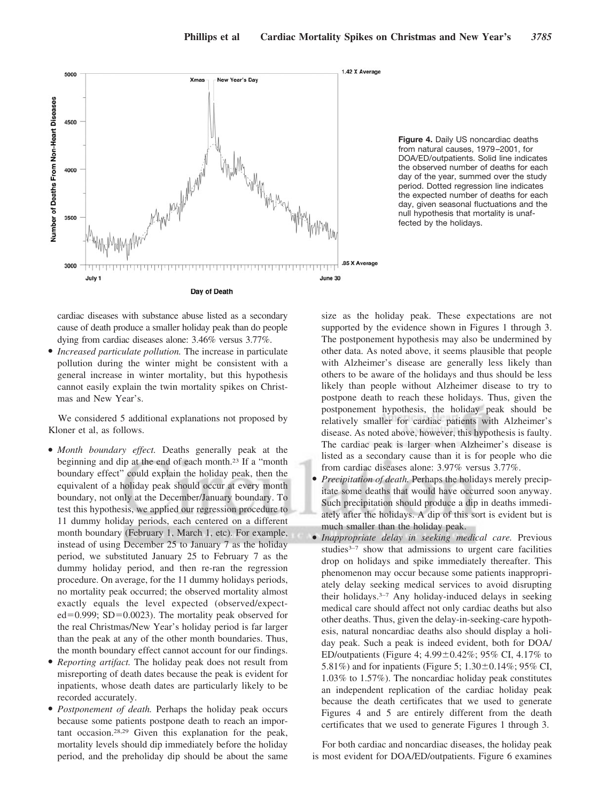

**Figure 4.** Daily US noncardiac deaths from natural causes, 1979–2001, for DOA/ED/outpatients. Solid line indicates the observed number of deaths for each day of the year, summed over the study period. Dotted regression line indicates the expected number of deaths for each day, given seasonal fluctuations and the null hypothesis that mortality is unaffected by the holidays.

cardiac diseases with substance abuse listed as a secondary cause of death produce a smaller holiday peak than do people dying from cardiac diseases alone: 3.46% versus 3.77%.

● *Increased particulate pollution.* The increase in particulate pollution during the winter might be consistent with a general increase in winter mortality, but this hypothesis cannot easily explain the twin mortality spikes on Christmas and New Year's.

We considered 5 additional explanations not proposed by Kloner et al, as follows.

- *Month boundary effect.* Deaths generally peak at the beginning and dip at the end of each month.<sup>23</sup> If a "month" boundary effect" could explain the holiday peak, then the equivalent of a holiday peak should occur at every month boundary, not only at the December/January boundary. To test this hypothesis, we applied our regression procedure to 11 dummy holiday periods, each centered on a different month boundary (February 1, March 1, etc). For example, instead of using December 25 to January 7 as the holiday period, we substituted January 25 to February 7 as the dummy holiday period, and then re-ran the regression procedure. On average, for the 11 dummy holidays periods, no mortality peak occurred; the observed mortality almost exactly equals the level expected (observed/expected=0.999; SD=0.0023). The mortality peak observed for the real Christmas/New Year's holiday period is far larger than the peak at any of the other month boundaries. Thus, the month boundary effect cannot account for our findings.
- *Reporting artifact.* The holiday peak does not result from misreporting of death dates because the peak is evident for inpatients, whose death dates are particularly likely to be recorded accurately.
- Postponement of death. Perhaps the holiday peak occurs because some patients postpone death to reach an important occasion.28,29 Given this explanation for the peak, mortality levels should dip immediately before the holiday period, and the preholiday dip should be about the same

size as the holiday peak. These expectations are not supported by the evidence shown in Figures 1 through 3. The postponement hypothesis may also be undermined by other data. As noted above, it seems plausible that people with Alzheimer's disease are generally less likely than others to be aware of the holidays and thus should be less likely than people without Alzheimer disease to try to postpone death to reach these holidays. Thus, given the postponement hypothesis, the holiday peak should be relatively smaller for cardiac patients with Alzheimer's disease. As noted above, however, this hypothesis is faulty. The cardiac peak is larger when Alzheimer's disease is listed as a secondary cause than it is for people who die from cardiac diseases alone: 3.97% versus 3.77%.

- *Precipitation of death.* Perhaps the holidays merely precipitate some deaths that would have occurred soon anyway. Such precipitation should produce a dip in deaths immediately after the holidays. A dip of this sort is evident but is much smaller than the holiday peak.
- *Inappropriate delay in seeking medical care.* Previous studies<sup>3-7</sup> show that admissions to urgent care facilities drop on holidays and spike immediately thereafter. This phenomenon may occur because some patients inappropriately delay seeking medical services to avoid disrupting their holidays.3–7 Any holiday-induced delays in seeking medical care should affect not only cardiac deaths but also other deaths. Thus, given the delay-in-seeking-care hypothesis, natural noncardiac deaths also should display a holiday peak. Such a peak is indeed evident, both for DOA/ ED/outpatients (Figure 4;  $4.99 \pm 0.42\%$ ; 95% CI,  $4.17\%$  to 5.81%) and for inpatients (Figure 5;  $1.30 \pm 0.14$ %;  $95\%$  CI, 1.03% to 1.57%). The noncardiac holiday peak constitutes an independent replication of the cardiac holiday peak because the death certificates that we used to generate Figures 4 and 5 are entirely different from the death certificates that we used to generate Figures 1 through 3.

For both cardiac and noncardiac diseases, the holiday peak is most evident for DOA/ED/outpatients. Figure 6 examines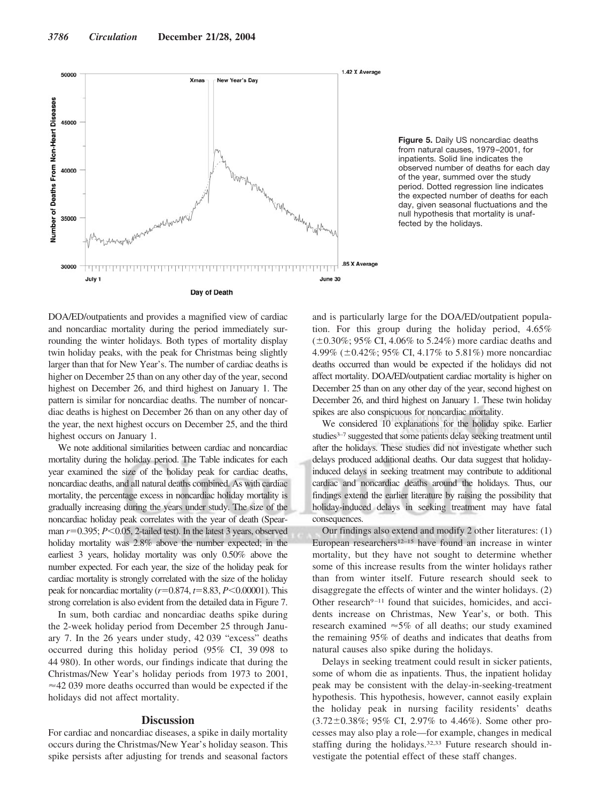

**Figure 5.** Daily US noncardiac deaths from natural causes, 1979–2001, for inpatients. Solid line indicates the observed number of deaths for each day of the year, summed over the study period. Dotted regression line indicates the expected number of deaths for each day, given seasonal fluctuations and the null hypothesis that mortality is unaffected by the holidays.

DOA/ED/outpatients and provides a magnified view of cardiac and noncardiac mortality during the period immediately surrounding the winter holidays. Both types of mortality display twin holiday peaks, with the peak for Christmas being slightly larger than that for New Year's. The number of cardiac deaths is higher on December 25 than on any other day of the year, second highest on December 26, and third highest on January 1. The pattern is similar for noncardiac deaths. The number of noncardiac deaths is highest on December 26 than on any other day of the year, the next highest occurs on December 25, and the third highest occurs on January 1.

We note additional similarities between cardiac and noncardiac mortality during the holiday period. The Table indicates for each year examined the size of the holiday peak for cardiac deaths, noncardiac deaths, and all natural deaths combined. As with cardiac mortality, the percentage excess in noncardiac holiday mortality is gradually increasing during the years under study. The size of the noncardiac holiday peak correlates with the year of death (Spearman  $r$ =0.395;  $P$ <0.05, 2-tailed test). In the latest 3 years, observed holiday mortality was 2.8% above the number expected; in the earliest 3 years, holiday mortality was only 0.50% above the number expected. For each year, the size of the holiday peak for cardiac mortality is strongly correlated with the size of the holiday peak for noncardiac mortality ( $r=0.874$ ,  $t=8.83$ ,  $P<0.00001$ ). This strong correlation is also evident from the detailed data in Figure 7.

In sum, both cardiac and noncardiac deaths spike during the 2-week holiday period from December 25 through January 7. In the 26 years under study, 42 039 "excess" deaths occurred during this holiday period (95% CI, 39 098 to 44 980). In other words, our findings indicate that during the Christmas/New Year's holiday periods from 1973 to 2001,  $\approx$ 42 039 more deaths occurred than would be expected if the holidays did not affect mortality.

### **Discussion**

For cardiac and noncardiac diseases, a spike in daily mortality occurs during the Christmas/New Year's holiday season. This spike persists after adjusting for trends and seasonal factors

and is particularly large for the DOA/ED/outpatient population. For this group during the holiday period, 4.65%  $(\pm 0.30\%; 95\% \text{ CI}, 4.06\% \text{ to } 5.24\%)$  more cardiac deaths and 4.99% ( $\pm 0.42\%$ ; 95% CI, 4.17% to 5.81%) more noncardiac deaths occurred than would be expected if the holidays did not affect mortality. DOA/ED/outpatient cardiac mortality is higher on December 25 than on any other day of the year, second highest on December 26, and third highest on January 1. These twin holiday spikes are also conspicuous for noncardiac mortality.

We considered 10 explanations for the holiday spike. Earlier studies<sup>3-7</sup> suggested that some patients delay seeking treatment until after the holidays. These studies did not investigate whether such delays produced additional deaths. Our data suggest that holidayinduced delays in seeking treatment may contribute to additional cardiac and noncardiac deaths around the holidays. Thus, our findings extend the earlier literature by raising the possibility that holiday-induced delays in seeking treatment may have fatal consequences.

Our findings also extend and modify 2 other literatures: (1) European researchers<sup>12–15</sup> have found an increase in winter mortality, but they have not sought to determine whether some of this increase results from the winter holidays rather than from winter itself. Future research should seek to disaggregate the effects of winter and the winter holidays. (2) Other research $9-11$  found that suicides, homicides, and accidents increase on Christmas, New Year's, or both. This research examined  $\approx$  5% of all deaths; our study examined the remaining 95% of deaths and indicates that deaths from natural causes also spike during the holidays.

Delays in seeking treatment could result in sicker patients, some of whom die as inpatients. Thus, the inpatient holiday peak may be consistent with the delay-in-seeking-treatment hypothesis. This hypothesis, however, cannot easily explain the holiday peak in nursing facility residents' deaths  $(3.72\pm0.38\%; 95\% \text{ CI}, 2.97\% \text{ to } 4.46\%).$  Some other processes may also play a role—for example, changes in medical staffing during the holidays.<sup>32,33</sup> Future research should investigate the potential effect of these staff changes.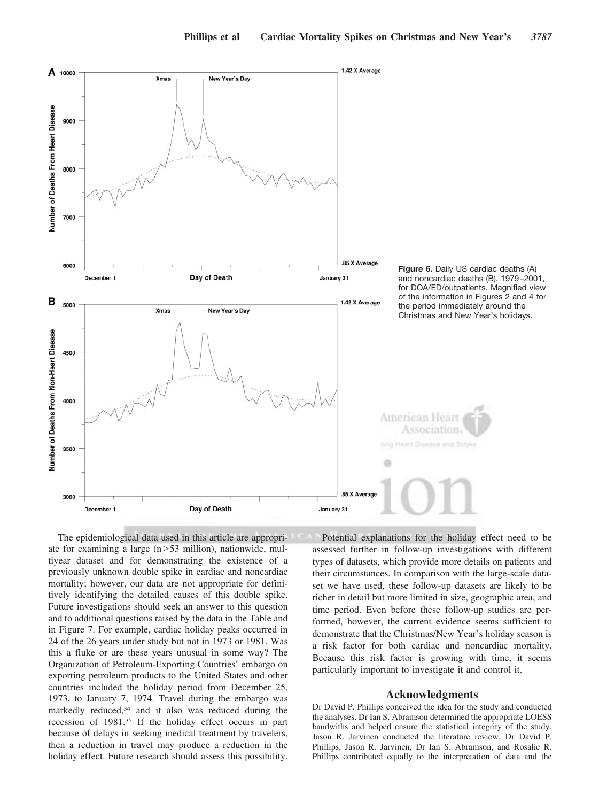

The epidemiological data used in this article are appropriate for examining a large  $(n>53$  million), nationwide, multiyear dataset and for demonstrating the existence of a previously unknown double spike in cardiac and noncardiac mortality; however, our data are not appropriate for definitively identifying the detailed causes of this double spike. Future investigations should seek an answer to this question and to additional questions raised by the data in the Table and in Figure 7. For example, cardiac holiday peaks occurred in 24 of the 26 years under study but not in 1973 or 1981. Was this a fluke or are these years unusual in some way? The Organization of Petroleum-Exporting Countries' embargo on exporting petroleum products to the United States and other countries included the holiday period from December 25, 1973, to January 7, 1974. Travel during the embargo was markedly reduced,<sup>34</sup> and it also was reduced during the recession of 1981.35 If the holiday effect occurs in part because of delays in seeking medical treatment by travelers, then a reduction in travel may produce a reduction in the holiday effect. Future research should assess this possibility.

Potential explanations for the holiday effect need to be assessed further in follow-up investigations with different types of datasets, which provide more details on patients and their circumstances. In comparison with the large-scale dataset we have used, these follow-up datasets are likely to be richer in detail but more limited in size, geographic area, and time period. Even before these follow-up studies are performed, however, the current evidence seems sufficient to demonstrate that the Christmas/New Year's holiday season is a risk factor for both cardiac and noncardiac mortality. Because this risk factor is growing with time, it seems particularly important to investigate it and control it.

## **Acknowledgments**

Dr David P. Phillips conceived the idea for the study and conducted the analyses. Dr Ian S. Abramson determined the appropriate LOESS bandwiths and helped ensure the statistical integrity of the study. Jason R. Jarvinen conducted the literature review. Dr David P. Phillips, Jason R. Jarvinen, Dr Ian S. Abramson, and Rosalie R. Phillips contributed equally to the interpretation of data and the